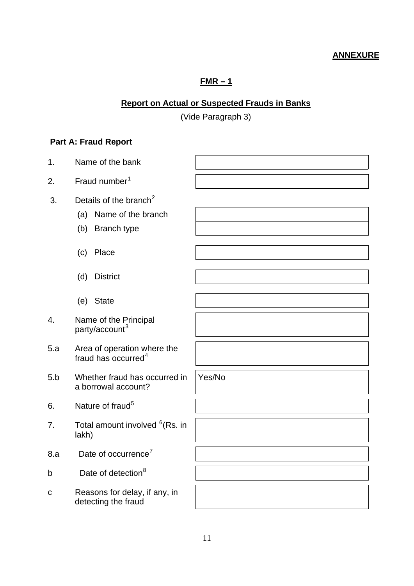### **ANNEXURE**

# **FMR – 1**

# **Report on Actual or Suspected Frauds in Banks**

(Vide Paragraph 3)

# **Part A: Fraud Report**

| 1.          | Name of the bank                                                                             |        |
|-------------|----------------------------------------------------------------------------------------------|--------|
| 2.          | Fraud number <sup>1</sup>                                                                    |        |
| 3.          | Details of the branch <sup>2</sup><br>Name of the branch<br>(a)<br><b>Branch type</b><br>(b) |        |
|             | Place<br>(c)                                                                                 |        |
|             | <b>District</b><br>(d)                                                                       |        |
|             | (e) State                                                                                    |        |
| 4.          | Name of the Principal<br>party/account <sup>3</sup>                                          |        |
| 5.a         | Area of operation where the<br>fraud has occurred <sup>4</sup>                               |        |
| 5.b         | Whether fraud has occurred in<br>a borrowal account?                                         | Yes/No |
| 6.          | Nature of fraud <sup>5</sup>                                                                 |        |
| 7.          | Total amount involved <sup>6</sup> (Rs. in<br>lakh)                                          |        |
| 8.a         | Date of occurrence <sup>7</sup>                                                              |        |
| b           | Date of detection <sup>8</sup>                                                               |        |
| $\mathbf C$ | Reasons for delay, if any, in<br>detecting the fraud                                         |        |
|             |                                                                                              |        |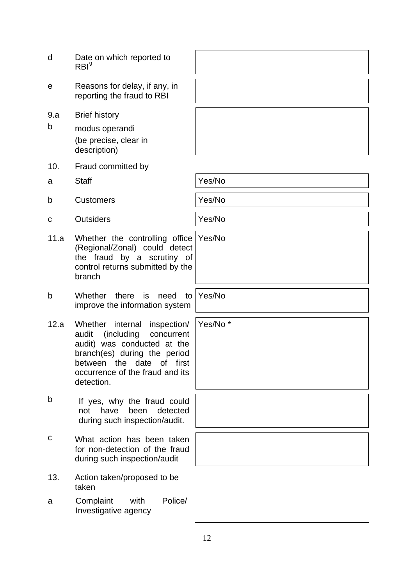- d Date on which reported to  $RBI<sup>9</sup>$
- e Reasons for delay, if any, in reporting the fraud to RBI
- 9.a Brief history
- b modus operandi (be precise, clear in description)
- 10. Fraud committed by
- a Staff  $\vert$  Yes/No
- b Customers Yes/No
- c Outsiders **Yes/No**
- 11.a Whether the controlling office (Regional/Zonal) could detect the fraud by a scrutiny of control returns submitted by the branch
- b Whether there is need to improve the information system
- 12.a Whether internal inspection/ audit (including concurrent audit) was conducted at the branch(es) during the period between the date of first occurrence of the fraud and its detection.
- b If yes, why the fraud could not have been detected during such inspection/audit.
- c What action has been taken for non-detection of the fraud during such inspection/audit
- 13. Action taken/proposed to be taken
- a Complaint with Police/ Investigative agency

Yes/No

Yes/No

Yes/No \*

12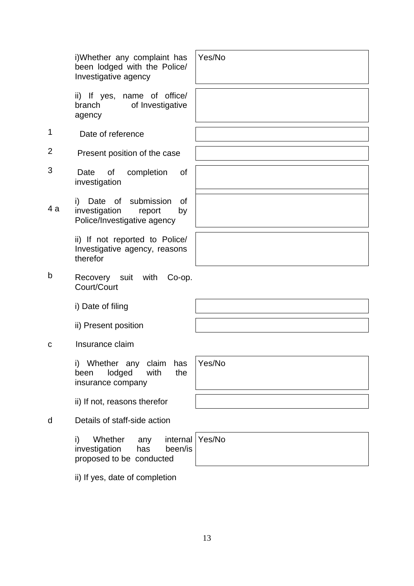i)Whether any complaint has been lodged with the Police/ Investigative agency

ii) If yes, name of office/ branch of Investigative agency

- 1 Date of reference
- 2 Present position of the case
- 3 Date of completion of investigation

i) Date of submission of<br>4 a investigation report by investigation Police/Investigative agency

> ii) If not reported to Police/ Investigative agency, reasons therefor

b Recovery suit with Co-op. Court/Court

i) Date of filing

ii) Present position

c Insurance claim

i) Whether any claim has been lodged with the insurance company

ii) If not, reasons therefor

d Details of staff-side action

i) Whether any investigation has been/is proposed to be conducted internal Yes/No

ii) If yes, date of completion

Yes/No

Yes/No

13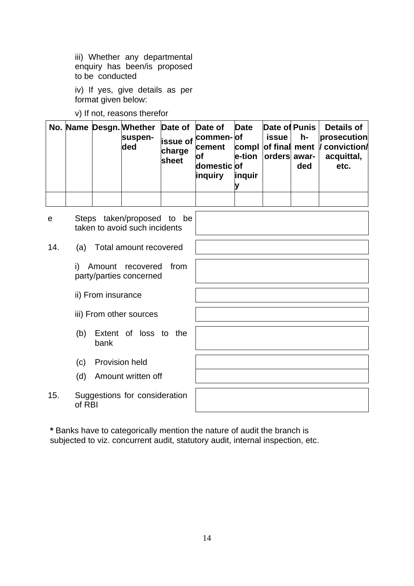iii) Whether any departmental enquiry has been/is proposed to be conducted

iv) If yes, give details as per format given below:

v) If not, reasons therefor

|  | No. Name Desgn. Whether Date of Date of Date<br>suspen-<br>ded | charge<br>sheet | issue of <sup>commen-</sup> of<br><b>of</b><br>domestic of<br><i>inquiry</i> | <i>linguir</i> | Date of Punis<br><b>issue</b><br>e-tion   orders   awar- | $h-$<br>ded | <b>Details of</b><br>prosecution<br>cement compl of final ment / conviction/<br>acquittal,<br>etc. |
|--|----------------------------------------------------------------|-----------------|------------------------------------------------------------------------------|----------------|----------------------------------------------------------|-------------|----------------------------------------------------------------------------------------------------|
|  |                                                                |                 |                                                                              |                |                                                          |             |                                                                                                    |

| e   | Steps taken/proposed to be<br>taken to avoid such incidents |
|-----|-------------------------------------------------------------|
| 14. | Total amount recovered<br>(a)                               |
|     | Amount recovered<br>from<br>i)<br>party/parties concerned   |
|     | ii) From insurance                                          |
|     | iii) From other sources                                     |
|     | Extent of loss to the<br>(b)<br>bank                        |
|     | <b>Provision held</b><br>(c)                                |
|     | Amount written off<br>(d)                                   |
| 15. | Suggestions for consideration<br>of RBI                     |

**\*** Banks have to categorically mention the nature of audit the branch is subjected to viz. concurrent audit, statutory audit, internal inspection, etc.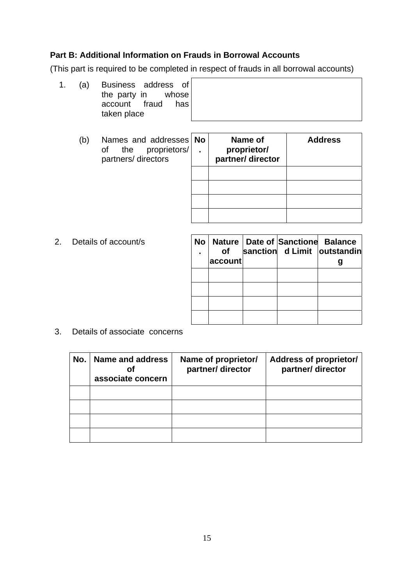#### **Part B: Additional Information on Frauds in Borrowal Accounts**

(This part is required to be completed in respect of frauds in all borrowal accounts)

| 1. (a) | Business address of |  |
|--------|---------------------|--|
|        | the party in whose  |  |
|        | account fraud has   |  |
|        | taken place         |  |

(b) Names and addresses of the proprietors/ partners/ directors

| No | Name of<br>proprietor/<br>partner/ director | <b>Address</b> |
|----|---------------------------------------------|----------------|
|    |                                             |                |
|    |                                             |                |
|    |                                             |                |
|    |                                             |                |

2. Details of account/s

| <b>of</b><br>account | No   Nature   Date of   Sanctione   Balance | sanction d Limit outstandin |
|----------------------|---------------------------------------------|-----------------------------|
|                      |                                             |                             |
|                      |                                             |                             |
|                      |                                             |                             |
|                      |                                             |                             |

3. Details of associate concerns

| No. | Name and address<br>Οf<br>associate concern | Name of proprietor/<br>partner/ director | <b>Address of proprietor/</b><br>partner/ director |
|-----|---------------------------------------------|------------------------------------------|----------------------------------------------------|
|     |                                             |                                          |                                                    |
|     |                                             |                                          |                                                    |
|     |                                             |                                          |                                                    |
|     |                                             |                                          |                                                    |